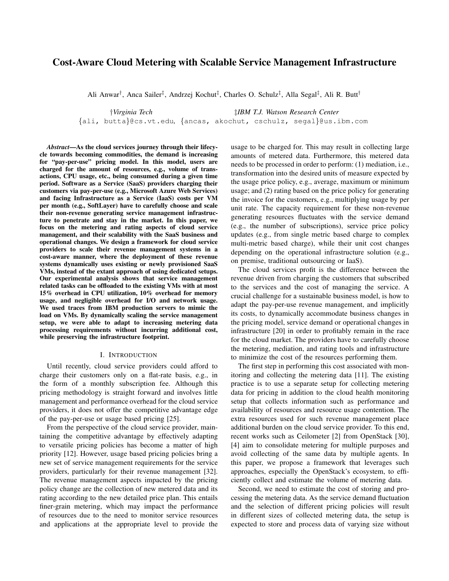# Cost-Aware Cloud Metering with Scalable Service Management Infrastructure

Ali Anwar<sup>†</sup>, Anca Sailer<sup>‡</sup>, Andrzej Kochut<sup>‡</sup>, Charles O. Schulz<sup>‡</sup>, Alla Segal<sup>‡</sup>, Ali R. Butt<sup>†</sup>

†*Virginia Tech* ‡*IBM T.J. Watson Research Center* {ali, butta}@cs.vt.edu*,* {ancas, akochut, cschulz, segal}@us.ibm.com

*Abstract*—As the cloud services journey through their lifecycle towards becoming commodities, the demand is increasing for "pay-per-use" pricing model. In this model, users are charged for the amount of resources, e.g., volume of transactions, CPU usage, etc., being consumed during a given time period. Software as a Service (SaaS) providers charging their customers via pay-per-use (e.g., Microsoft Azure Web Services) and facing Infrastructure as a Service (IaaS) costs per VM per month (e.g., SoftLayer) have to carefully choose and scale their non-revenue generating service management infrastructure to penetrate and stay in the market. In this paper, we focus on the metering and rating aspects of cloud service management, and their scalability with the SaaS business and operational changes. We design a framework for cloud service providers to scale their revenue management systems in a cost-aware manner, where the deployment of these revenue systems dynamically uses existing or newly provisioned SaaS VMs, instead of the extant approach of using dedicated setups. Our experimental analysis shows that service management related tasks can be offloaded to the existing VMs with at most 15% overhead in CPU utilization, 10% overhead for memory usage, and negligible overhead for I/O and network usage. We used traces from IBM production servers to mimic the load on VMs. By dynamically scaling the service management setup, we were able to adapt to increasing metering data processing requirements without incurring additional cost, while preserving the infrastructure footprint.

## I. INTRODUCTION

Until recently, cloud service providers could afford to charge their customers only on a flat-rate basis, e.g., in the form of a monthly subscription fee. Although this pricing methodology is straight forward and involves little management and performance overhead for the cloud service providers, it does not offer the competitive advantage edge of the pay-per-use or usage based pricing [25].

From the perspective of the cloud service provider, maintaining the competitive advantage by effectively adapting to versatile pricing policies has become a matter of high priority [12]. However, usage based pricing policies bring a new set of service management requirements for the service providers, particularly for their revenue management [32]. The revenue management aspects impacted by the pricing policy change are the collection of new metered data and its rating according to the new detailed price plan. This entails finer-grain metering, which may impact the performance of resources due to the need to monitor service resources and applications at the appropriate level to provide the usage to be charged for. This may result in collecting large amounts of metered data. Furthermore, this metered data needs to be processed in order to perform: (1) mediation, i.e., transformation into the desired units of measure expected by the usage price policy, e.g., average, maximum or minimum usage; and (2) rating based on the price policy for generating the invoice for the customers, e.g., multiplying usage by per unit rate. The capacity requirement for these non-revenue generating resources fluctuates with the service demand (e.g., the number of subscriptions), service price policy updates (e.g., from single metric based charge to complex multi-metric based charge), while their unit cost changes depending on the operational infrastructure solution (e.g., on premise, traditional outsourcing or IaaS).

The cloud services profit is the difference between the revenue driven from charging the customers that subscribed to the services and the cost of managing the service. A crucial challenge for a sustainable business model, is how to adapt the pay-per-use revenue management, and implicitly its costs, to dynamically accommodate business changes in the pricing model, service demand or operational changes in infrastructure [20] in order to profitably remain in the race for the cloud market. The providers have to carefully choose the metering, mediation, and rating tools and infrastructure to minimize the cost of the resources performing them.

The first step in performing this cost associated with monitoring and collecting the metering data [11]. The existing practice is to use a separate setup for collecting metering data for pricing in addition to the cloud health monitoring setup that collects information such as performance and availability of resources and resource usage contention. The extra resources used for such revenue management place additional burden on the cloud service provider. To this end, recent works such as Ceilometer [2] from OpenStack [30], [4] aim to consolidate metering for multiple purposes and avoid collecting of the same data by multiple agents. In this paper, we propose a framework that leverages such approaches, especially the OpenStack's ecosystem, to efficiently collect and estimate the volume of metering data.

Second, we need to estimate the cost of storing and processing the metering data. As the service demand fluctuation and the selection of different pricing policies will result in different sizes of collected metering data, the setup is expected to store and process data of varying size without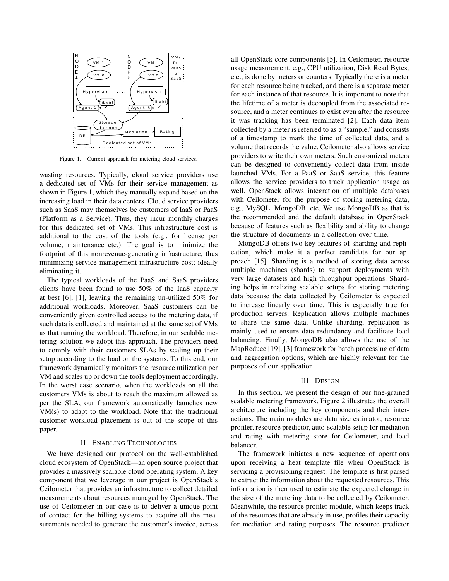

Figure 1. Current approach for metering cloud services.

wasting resources. Typically, cloud service providers use a dedicated set of VMs for their service management as shown in Figure 1, which they manually expand based on the increasing load in their data centers. Cloud service providers such as SaaS may themselves be customers of IaaS or PaaS (Platform as a Service). Thus, they incur monthly charges for this dedicated set of VMs. This infrastructure cost is additional to the cost of the tools (e.g., for license per volume, maintenance etc.). The goal is to minimize the footprint of this nonrevenue-generating infrastructure, thus minimizing service management infrastructure cost; ideally eliminating it.

The typical workloads of the PaaS and SaaS providers clients have been found to use 50% of the IaaS capacity at best [6], [1], leaving the remaining un-utilized 50% for additional workloads. Moreover, SaaS customers can be conveniently given controlled access to the metering data, if such data is collected and maintained at the same set of VMs as that running the workload. Therefore, in our scalable metering solution we adopt this approach. The providers need to comply with their customers SLAs by scaling up their setup according to the load on the systems. To this end, our framework dynamically monitors the resource utilization per VM and scales up or down the tools deployment accordingly. In the worst case scenario, when the workloads on all the customers VMs is about to reach the maximum allowed as per the SLA, our framework automatically launches new VM(s) to adapt to the workload. Note that the traditional customer workload placement is out of the scope of this paper.

# II. ENABLING TECHNOLOGIES

We have designed our protocol on the well-established cloud ecosystem of OpenStack—an open source project that provides a massively scalable cloud operating system. A key component that we leverage in our project is OpenStack's Ceilometer that provides an infrastructure to collect detailed measurements about resources managed by OpenStack. The use of Ceilometer in our case is to deliver a unique point of contact for the billing systems to acquire all the measurements needed to generate the customer's invoice, across all OpenStack core components [5]. In Ceilometer, resource usage measurement, e.g., CPU utilization, Disk Read Bytes, etc., is done by meters or counters. Typically there is a meter for each resource being tracked, and there is a separate meter for each instance of that resource. It is important to note that the lifetime of a meter is decoupled from the associated resource, and a meter continues to exist even after the resource it was tracking has been terminated [2]. Each data item collected by a meter is referred to as a "sample," and consists of a timestamp to mark the time of collected data, and a volume that records the value. Ceilometer also allows service providers to write their own meters. Such customized meters can be designed to conveniently collect data from inside launched VMs. For a PaaS or SaaS service, this feature allows the service providers to track application usage as well. OpenStack allows integration of multiple databases with Ceilometer for the purpose of storing metering data, e.g., MySQL, MongoDB, etc. We use MongoDB as that is the recommended and the default database in OpenStack because of features such as flexibility and ability to change the structure of documents in a collection over time.

MongoDB offers two key features of sharding and replication, which make it a perfect candidate for our approach [15]. Sharding is a method of storing data across multiple machines (shards) to support deployments with very large datasets and high throughput operations. Sharding helps in realizing scalable setups for storing metering data because the data collected by Ceilometer is expected to increase linearly over time. This is especially true for production servers. Replication allows multiple machines to share the same data. Unlike sharding, replication is mainly used to ensure data redundancy and facilitate load balancing. Finally, MongoDB also allows the use of the MapReduce [19], [3] framework for batch processing of data and aggregation options, which are highly relevant for the purposes of our application.

### III. DESIGN

In this section, we present the design of our fine-grained scalable metering framework. Figure 2 illustrates the overall architecture including the key components and their interactions. The main modules are data size estimator, resource profiler, resource predictor, auto-scalable setup for mediation and rating with metering store for Ceilometer, and load balancer.

The framework initiates a new sequence of operations upon receiving a heat template file when OpenStack is servicing a provisioning request. The template is first parsed to extract the information about the requested resources. This information is then used to estimate the expected change in the size of the metering data to be collected by Ceilometer. Meanwhile, the resource profiler module, which keeps track of the resources that are already in use, profiles their capacity for mediation and rating purposes. The resource predictor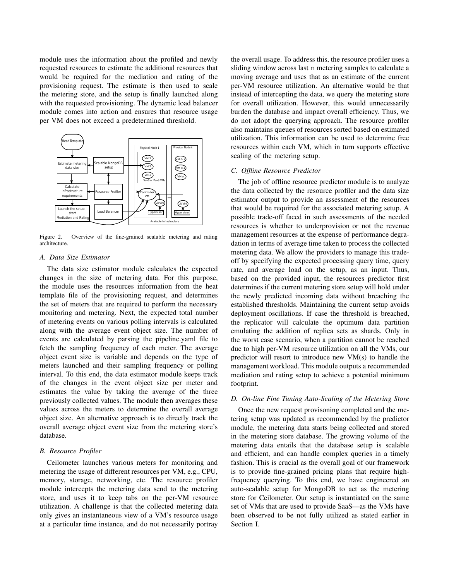module uses the information about the profiled and newly requested resources to estimate the additional resources that would be required for the mediation and rating of the provisioning request. The estimate is then used to scale the metering store, and the setup is finally launched along with the requested provisioning. The dynamic load balancer module comes into action and ensures that resource usage per VM does not exceed a predetermined threshold.



Figure 2. Overview of the fine-grained scalable metering and rating architecture.

# *A. Data Size Estimator*

The data size estimator module calculates the expected changes in the size of metering data. For this purpose, the module uses the resources information from the heat template file of the provisioning request, and determines the set of meters that are required to perform the necessary monitoring and metering. Next, the expected total number of metering events on various polling intervals is calculated along with the average event object size. The number of events are calculated by parsing the pipeline.yaml file to fetch the sampling frequency of each meter. The average object event size is variable and depends on the type of meters launched and their sampling frequency or polling interval. To this end, the data estimator module keeps track of the changes in the event object size per meter and estimates the value by taking the average of the three previously collected values. The module then averages these values across the meters to determine the overall average object size. An alternative approach is to directly track the overall average object event size from the metering store's database.

# *B. Resource Profiler*

Ceilometer launches various meters for monitoring and metering the usage of different resources per VM, e.g., CPU, memory, storage, networking, etc. The resource profiler module intercepts the metering data send to the metering store, and uses it to keep tabs on the per-VM resource utilization. A challenge is that the collected metering data only gives an instantaneous view of a VM's resource usage at a particular time instance, and do not necessarily portray the overall usage. To address this, the resource profiler uses a sliding window across last n metering samples to calculate a moving average and uses that as an estimate of the current per-VM resource utilization. An alternative would be that instead of intercepting the data, we query the metering store for overall utilization. However, this would unnecessarily burden the database and impact overall efficiency. Thus, we do not adopt the querying approach. The resource profiler also maintains queues of resources sorted based on estimated utilization. This information can be used to determine free resources within each VM, which in turn supports effective scaling of the metering setup.

# *C. Offline Resource Predictor*

The job of offline resource predictor module is to analyze the data collected by the resource profiler and the data size estimator output to provide an assessment of the resources that would be required for the associated metering setup. A possible trade-off faced in such assessments of the needed resources is whether to underprovision or not the revenue management resources at the expense of performance degradation in terms of average time taken to process the collected metering data. We allow the providers to manage this tradeoff by specifying the expected processing query time, query rate, and average load on the setup, as an input. Thus, based on the provided input, the resources predictor first determines if the current metering store setup will hold under the newly predicted incoming data without breaching the established thresholds. Maintaining the current setup avoids deployment oscillations. If case the threshold is breached, the replicator will calculate the optimum data partition emulating the addition of replica sets as shards. Only in the worst case scenario, when a partition cannot be reached due to high per-VM resource utilization on all the VMs, our predictor will resort to introduce new VM(s) to handle the management workload. This module outputs a recommended mediation and rating setup to achieve a potential minimum footprint.

### *D. On-line Fine Tuning Auto-Scaling of the Metering Store*

Once the new request provisoning completed and the metering setup was updated as recommended by the predictor module, the metering data starts being collected and stored in the metering store database. The growing volume of the metering data entails that the database setup is scalable and efficient, and can handle complex queries in a timely fashion. This is crucial as the overall goal of our framework is to provide fine-grained pricing plans that require highfrequency querying. To this end, we have engineered an auto-scalable setup for MongoDB to act as the metering store for Ceilometer. Our setup is instantiated on the same set of VMs that are used to provide SaaS—as the VMs have been observed to be not fully utilized as stated earlier in Section I.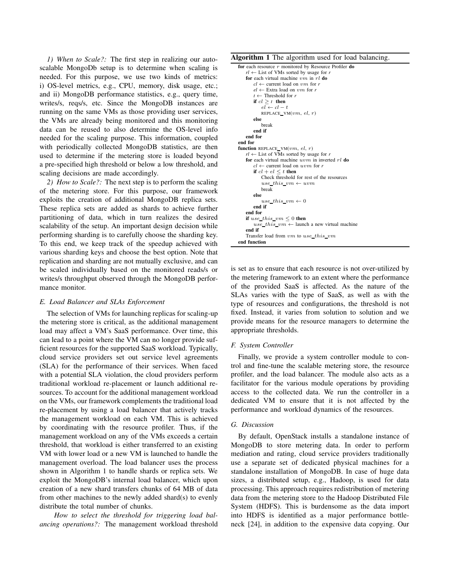*1) When to Scale?:* The first step in realizing our autoscalable MongoDb setup is to determine when scaling is needed. For this purpose, we use two kinds of metrics: i) OS-level metrics, e.g., CPU, memory, disk usage, etc.; and ii) MongoDB performance statistics, e.g., query time, writes/s, reqs/s, etc. Since the MongoDB instances are running on the same VMs as those providing user services, the VMs are already being monitored and this monitoring data can be reused to also determine the OS-level info needed for the scaling purpose. This information, coupled with periodically collected MongoDB statistics, are then used to determine if the metering store is loaded beyond a pre-specified high threshold or below a low threshold, and scaling decisions are made accordingly.

*2) How to Scale?:* The next step is to perform the scaling of the metering store. For this purpose, our framework exploits the creation of additional MongoDB replica sets. These replica sets are added as shards to achieve further partitioning of data, which in turn realizes the desired scalability of the setup. An important design decision while performing sharding is to carefully choose the sharding key. To this end, we keep track of the speedup achieved with various sharding keys and choose the best option. Note that replication and sharding are not mutually exclusive, and can be scaled individually based on the monitored reads/s or writes/s throughput observed through the MongoDB performance monitor.

# *E. Load Balancer and SLAs Enforcement*

The selection of VMs for launching replicas for scaling-up the metering store is critical, as the additional management load may affect a VM's SaaS performance. Over time, this can lead to a point where the VM can no longer provide sufficient resources for the supported SaaS workload. Typically, cloud service providers set out service level agreements (SLA) for the performance of their services. When faced with a potential SLA violation, the cloud providers perform traditional workload re-placement or launch additional resources. To account for the additional management workload on the VMs, our framework complements the traditional load re-placement by using a load balancer that actively tracks the management workload on each VM. This is achieved by coordinating with the resource profiler. Thus, if the management workload on any of the VMs exceeds a certain threshold, that workload is either transferred to an existing VM with lower load or a new VM is launched to handle the management overload. The load balancer uses the process shown in Algorithm 1 to handle shards or replica sets. We exploit the MongoDB's internal load balancer, which upon creation of a new shard transfers chunks of 64 MB of data from other machines to the newly added shard(s) to evenly distribute the total number of chunks.

*How to select the threshold for triggering load balancing operations?:* The management workload threshold

Algorithm 1 The algorithm used for load balancing.

```
for each resource r monitored by Resource Profiler do
    rl ← List of VMs sorted by usage for r
   for each virtual machine vm in rl do
       cl \leftarrow current load on vm for r
       el \leftarrow Extra load on vm for r
       t ← Threshold for r
        if cl \geq t then
            e\bar{l} \leftarrow cl - t<code>REPLACE_VM(vm, \; el, \; r)</code>
       else
           break
       end if
   end for
end for
function REPLACE VM(vm, el, r)<br>rl ← List of VMs sorted by usage for r
   for each virtual machine uvm in inverted rl do
        cl ← current load on uvm for r
       if cl + el \leq t then
           Check threshold for rest of the resources
            use_this_vm \leftarrow uvmbreak
       else
           use_this_vm \leftarrow 0end if
   end for
   if use\_this\_vm \leq 0 then
       use_this_vm \leftarrow launch a new virtual machine
    end if
    Transfer load from vm to use_this_vm
end function
```
is set as to ensure that each resource is not over-utilized by the metering framework to an extent where the performance of the provided SaaS is affected. As the nature of the SLAs varies with the type of SaaS, as well as with the type of resources and configurations, the threshold is not fixed. Instead, it varies from solution to solution and we provide means for the resource managers to determine the appropriate thresholds.

# *F. System Controller*

Finally, we provide a system controller module to control and fine-tune the scalable metering store, the resource profiler, and the load balancer. The module also acts as a facilitator for the various module operations by providing access to the collected data. We run the controller in a dedicated VM to ensure that it is not affected by the performance and workload dynamics of the resources.

# *G. Discussion*

By default, OpenStack installs a standalone instance of MongoDB to store metering data. In order to perform mediation and rating, cloud service providers traditionally use a separate set of dedicated physical machines for a standalone installation of MongoDB. In case of huge data sizes, a distributed setup, e.g., Hadoop, is used for data processing. This approach requires redistribution of metering data from the metering store to the Hadoop Distributed File System (HDFS). This is burdensome as the data import into HDFS is identified as a major performance bottleneck [24], in addition to the expensive data copying. Our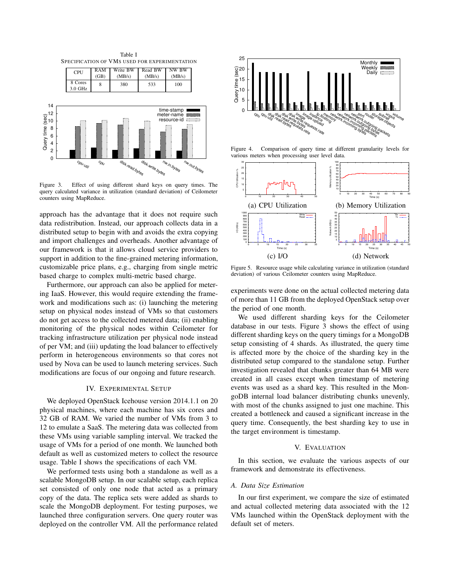Table I SPECIFICATION OF VMS USED FOR EXPERIMENTATION



Figure 3. Effect of using different shard keys on query times. The query calculated variance in utilization (standard deviation) of Ceilometer counters using MapReduce.

approach has the advantage that it does not require such data redistribution. Instead, our approach collects data in a distributed setup to begin with and avoids the extra copying and import challenges and overheads. Another advantage of our framework is that it allows cloud service providers to support in addition to the fine-grained metering information, customizable price plans, e.g., charging from single metric based charge to complex multi-metric based charge.

Furthermore, our approach can also be applied for metering IaaS. However, this would require extending the framework and modifications such as: (i) launching the metering setup on physical nodes instead of VMs so that customers do not get access to the collected metered data; (ii) enabling monitoring of the physical nodes within Ceilometer for tracking infrastructure utilization per physical node instead of per VM; and (iii) updating the load balancer to effectively perform in heterogeneous environments so that cores not used by Nova can be used to launch metering services. Such modifications are focus of our ongoing and future research.

# IV. EXPERIMENTAL SETUP

We deployed OpenStack Icehouse version 2014.1.1 on 20 physical machines, where each machine has six cores and 32 GB of RAM. We varied the number of VMs from 3 to 12 to emulate a SaaS. The metering data was collected from these VMs using variable sampling interval. We tracked the usage of VMs for a period of one month. We launched both default as well as customized meters to collect the resource usage. Table I shows the specifications of each VM.

We performed tests using both a standalone as well as a scalable MongoDB setup. In our scalable setup, each replica set consisted of only one node that acted as a primary copy of the data. The replica sets were added as shards to scale the MongoDB deployment. For testing purposes, we launched three configuration servers. One query router was deployed on the controller VM. All the performance related



Figure 4. Comparison of query time at different granularity levels for various meters when processing user level data.



Figure 5. Resource usage while calculating variance in utilization (standard deviation) of various Ceilometer counters using MapReduce.

experiments were done on the actual collected metering data of more than 11 GB from the deployed OpenStack setup over the period of one month.

We used different sharding keys for the Ceilometer database in our tests. Figure 3 shows the effect of using different sharding keys on the query timings for a MongoDB setup consisting of 4 shards. As illustrated, the query time is affected more by the choice of the sharding key in the distributed setup compared to the standalone setup. Further investigation revealed that chunks greater than 64 MB were created in all cases except when timestamp of metering events was used as a shard key. This resulted in the MongoDB internal load balancer distributing chunks unevenly, with most of the chunks assigned to just one machine. This created a bottleneck and caused a significant increase in the query time. Consequently, the best sharding key to use in the target environment is timestamp.

# V. EVALUATION

In this section, we evaluate the various aspects of our framework and demonstrate its effectiveness.

#### *A. Data Size Estimation*

In our first experiment, we compare the size of estimated and actual collected metering data associated with the 12 VMs launched within the OpenStack deployment with the default set of meters.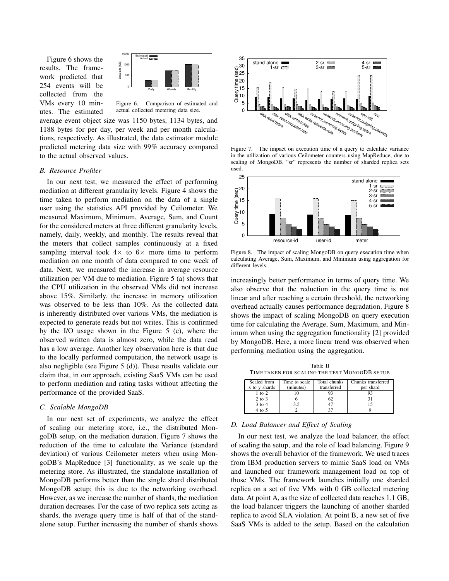Figure 6 shows the results. The framework predicted that 254 events will be collected from the VMs every 10 minutes. The estimated



Figure 6. Comparison of estimated and actual collected metering data size.

average event object size was 1150 bytes, 1134 bytes, and 1188 bytes for per day, per week and per month calculations, respectively. As illustrated, the data estimator module predicted metering data size with 99% accuracy compared to the actual observed values.

#### *B. Resource Profiler*

In our next test, we measured the effect of performing mediation at different granularity levels. Figure 4 shows the time taken to perform mediation on the data of a single user using the statistics API provided by Ceilometer. We measured Maximum, Minimum, Average, Sum, and Count for the considered meters at three different granularity levels, namely, daily, weekly, and monthly. The results reveal that the meters that collect samples continuously at a fixed sampling interval took  $4 \times$  to  $6 \times$  more time to perform mediation on one month of data compared to one week of data. Next, we measured the increase in average resource utilization per VM due to mediation. Figure 5 (a) shows that the CPU utilization in the observed VMs did not increase above 15%. Similarly, the increase in memory utilization was observed to be less than 10%. As the collected data is inherently distributed over various VMs, the mediation is expected to generate reads but not writes. This is confirmed by the I/O usage shown in the Figure 5 (c), where the observed written data is almost zero, while the data read has a low average. Another key observation here is that due to the locally performed computation, the network usage is also negligible (see Figure 5 (d)). These results validate our claim that, in our approach, existing SaaS VMs can be used to perform mediation and rating tasks without affecting the performance of the provided SaaS.

# *C. Scalable MongoDB*

In our next set of experiments, we analyze the effect of scaling our metering store, i.e., the distributed MongoDB setup, on the mediation duration. Figure 7 shows the reduction of the time to calculate the Variance (standard deviation) of various Ceilometer meters when using MongoDB's MapReduce [3] functionality, as we scale up the metering store. As illustrated, the standalone installation of MongoDB performs better than the single shard distributed MongoDB setup; this is due to the networking overhead. However, as we increase the number of shards, the mediation duration decreases. For the case of two replica sets acting as shards, the average query time is half of that of the standalone setup. Further increasing the number of shards shows



Figure 7. The impact on execution time of a query to calculate variance in the utilization of various Ceilometer counters using MapReduce, due to scaling of MongoDB. "sr" represents the number of sharded replica sets used.



Figure 8. The impact of scaling MongoDB on query execution time when calculating Average, Sum, Maximum, and Minimum using aggregation for different levels.

increasingly better performance in terms of query time. We also observe that the reduction in the query time is not linear and after reaching a certain threshold, the networking overhead actually causes performance degradation. Figure 8 shows the impact of scaling MongoDB on query execution time for calculating the Average, Sum, Maximum, and Minimum when using the aggregation functionality [2] provided by MongoDB. Here, a more linear trend was observed when performing mediation using the aggregation.

Table II TIME TAKEN FOR SCALING THE TEST MONGODB SETUP.

| Scaled from   | Time to scale | Total chunks | Chunks transferred |
|---------------|---------------|--------------|--------------------|
| x to y shards | (minutes)     | transferred  | per shard          |
| 1 to 2        |               |              |                    |
| 2 to 3        |               | 62           |                    |
| $3$ to $4$    | 3.5           |              |                    |
| $4$ to $5$    |               |              |                    |

# *D. Load Balancer and Effect of Scaling*

In our next test, we analyze the load balancer, the effect of scaling the setup, and the role of load balancing. Figure 9 shows the overall behavior of the framework. We used traces from IBM production servers to mimic SaaS load on VMs and launched our framework management load on top of those VMs. The framework launches initially one sharded replica on a set of five VMs with 0 GB collected metering data. At point A, as the size of collected data reaches 1.1 GB, the load balancer triggers the launching of another sharded replica to avoid SLA violation. At point B, a new set of five SaaS VMs is added to the setup. Based on the calculation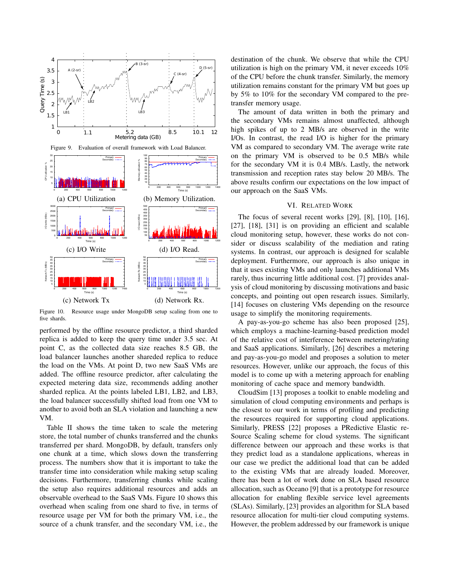

Figure 10. Resource usage under MongoDB setup scaling from one to five shards.

performed by the offline resource predictor, a third sharded replica is added to keep the query time under 3.5 sec. At point C, as the collected data size reaches 8.5 GB, the load balancer launches another shareded replica to reduce the load on the VMs. At point D, two new SaaS VMs are added. The offline resource predictor, after calculating the expected metering data size, recommends adding another sharded replica. At the points labeled LB1, LB2, and LB3, the load balancer successfully shifted load from one VM to another to avoid both an SLA violation and launching a new VM.

Table II shows the time taken to scale the metering store, the total number of chunks transferred and the chunks transferred per shard. MongoDB, by default, transfers only one chunk at a time, which slows down the transferring process. The numbers show that it is important to take the transfer time into consideration while making setup scaling decisions. Furthermore, transferring chunks while scaling the setup also requires additional resources and adds an observable overhead to the SaaS VMs. Figure 10 shows this overhead when scaling from one shard to five, in terms of resource usage per VM for both the primary VM, i.e., the source of a chunk transfer, and the secondary VM, i.e., the destination of the chunk. We observe that while the CPU utilization is high on the primary VM, it never exceeds 10% of the CPU before the chunk transfer. Similarly, the memory utilization remains constant for the primary VM but goes up by 5% to 10% for the secondary VM compared to the pretransfer memory usage.

The amount of data written in both the primary and the secondary VMs remains almost unaffected, although high spikes of up to 2 MB/s are observed in the write I/Os. In contrast, the read I/O is higher for the primary VM as compared to secondary VM. The average write rate on the primary VM is observed to be 0.5 MB/s while for the secondary VM it is 0.4 MB/s. Lastly, the network transmission and reception rates stay below 20 MB/s. The above results confirm our expectations on the low impact of our approach on the SaaS VMs.

# VI. RELATED WORK

The focus of several recent works [29], [8], [10], [16], [27], [18], [31] is on providing an efficient and scalable cloud monitoring setup, however, these works do not consider or discuss scalability of the mediation and rating systems. In contrast, our approach is designed for scalable deployment. Furthermore, our approach is also unique in that it uses existing VMs and only launches additional VMs rarely, thus incurring little additional cost. [7] provides analysis of cloud monitoring by discussing motivations and basic concepts, and pointing out open research issues. Similarly, [14] focuses on clustering VMs depending on the resource usage to simplify the monitoring requirements.

A pay-as-you-go scheme has also been proposed [25], which employs a machine-learning-based prediction model of the relative cost of interference between metering/rating and SaaS applications. Similarly, [26] describes a metering and pay-as-you-go model and proposes a solution to meter resources. However, unlike our approach, the focus of this model is to come up with a metering approach for enabling monitoring of cache space and memory bandwidth.

CloudSim [13] proposes a toolkit to enable modeling and simulation of cloud computing environments and perhaps is the closest to our work in terms of profiling and predicting the resources required for supporting cloud applications. Similarly, PRESS [22] proposes a PRedictive Elastic re-Source Scaling scheme for cloud systems. The significant difference between our approach and these works is that they predict load as a standalone applications, whereas in our case we predict the additional load that can be added to the existing VMs that are already loaded. Moreover, there has been a lot of work done on SLA based resource allocation, such as Oceano [9] that is a prototype for resource allocation for enabling flexible service level agreements (SLAs). Similarly, [23] provides an algorithm for SLA based resource allocation for multi-tier cloud computing systems. However, the problem addressed by our framework is unique